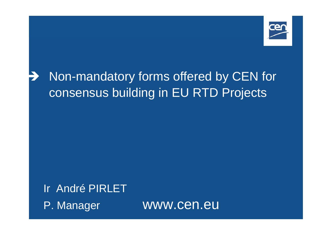

#### Î Non-mandatory forms offered by CEN for consensus building in EU RTD Projects

Ir André PIRLET P. Manager www.cen.eu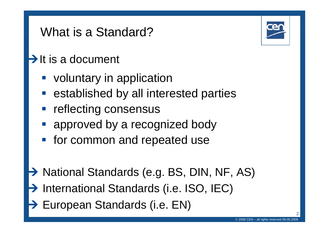### What is a Standard?

#### $\rightarrow$  It is a document

- **voluntary in application**
- **Exercise contains interested parties**
- reflecting consensus
- approved by a recognized body
- **for common and repeated use**
- → National Standards (e.g. BS, DIN, NF, AS) **→ International Standards (i.e. ISO, IEC)**
- **→ European Standards (i.e. EN)**

©

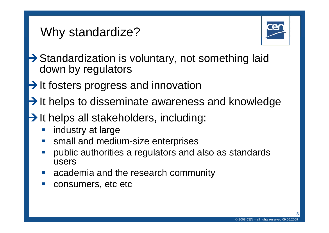### Why standardize?



- $\rightarrow$  Standardization is voluntary, not something laid down by regulators
- $\rightarrow$  It fosters progress and innovation
- $\rightarrow$  It helps to disseminate awareness and knowledge
- $\rightarrow$  It helps all stakeholders, including:
	- industry at large
	- small and medium-size enterprises
	- public authorities a regulators and also as standards users
	- academia and the research community
	- consumers, etc etc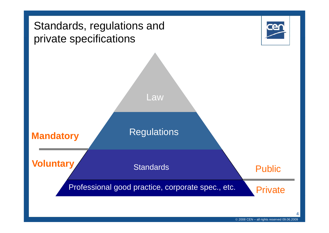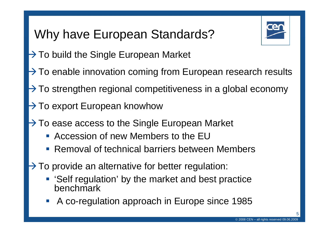## Why have European Standards?



- $\rightarrow$  To build the Single European Market
- $\rightarrow$  To enable innovation coming from European research results
- $\rightarrow$  To strengthen regional competitiveness in a global economy
- $\rightarrow$  To export European knowhow
- $\rightarrow$  To ease access to the Single European Market
	- Accession of new Members to the EU
	- **Removal of technical barriers between Members**
- $\rightarrow$  To provide an alternative for better regulation:
	- 'Self regulation' by the market and best practice benchmark
	- $\mathbb{R}^2$ A co-regulation approach in Europe since 1985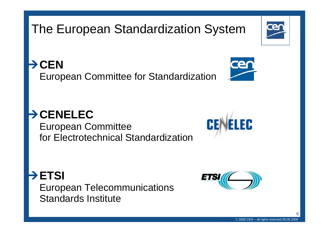## The European Standardization System

¼**CEN**European Committee for Standardization

#### ¼**CENELEC**

European Committee for Electrotechnical Standardization

¼**ETSI**

European Telecommunications Standards Institute

6







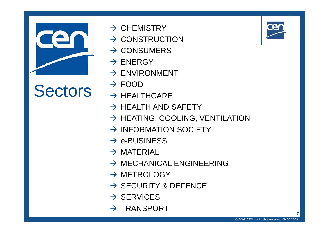

# $Sectors \rightarrow FOOD$

- $\rightarrow$  CHEMISTRY
- $\rightarrow$  CONSTRUCTION
- $\rightarrow$  CONSUMERS
- $\rightarrow$  ENERGY
- $\rightarrow$  ENVIRONMENT
- $\rightarrow$  FOOD
- $\rightarrow$  HEALTHCARE
- $\rightarrow$  HEALTH AND SAFETY
- $\rightarrow$  HEATING, COOLING, VENTILATION
- $\rightarrow$  INFORMATION SOCIETY
- $\rightarrow$  e-BUSINESS
- $\rightarrow$  MATERIAL
- $\rightarrow$  MECHANICAL ENGINEERING
- $\rightarrow$  METROLOGY
- $\rightarrow$  SECURITY & DEFENCE
- $\rightarrow$  SERVICES
- $\rightarrow$  TRANSPORT



7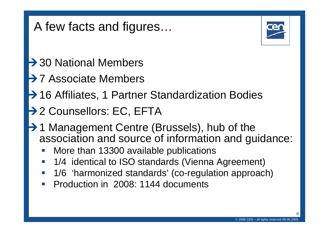### A few facts and figures…



- $\rightarrow$  30 National Members
- **→ 7 Associate Members**
- **→ 16 Affiliates, 1 Partner Standardization Bodies**
- → 2 Counsellors: EC, EFTA
- **→ 1 Management Centre (Brussels), hub of the** association and source of information and guidance:
	- $\mathcal{L}_{\mathcal{A}}$ More than 13300 available publications
	- $\mathcal{L}_{\mathcal{A}}$ 1/4 identical to ISO standards (Vienna Agreement)
	- $\mathcal{L}_{\mathcal{A}}$ 1/6 'harmonized standards' (co-regulation approach)
	- Production in 2008: 1144 documents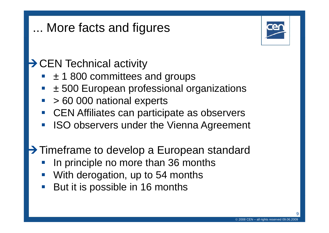### ... More facts and figures



 $\rightarrow$  CEN Technical activity

- $\pm$  1 800 committees and groups
- $\mathcal{L}_{\mathcal{A}}$  $\pm$  500 European professional organizations
- $\mathcal{L}_{\mathcal{A}}$ > 60 000 national experts
- $\frac{1}{2}$ CEN Affiliates can participate as observers
- $\mathcal{L}_{\mathcal{A}}$ ISO observers under the Vienna Agreement

**→ Timeframe to develop a European standard** 

- In principle no more than 36 months
- $\mathbb{R}^3$ With derogation, up to 54 months
- $\mathbb{R}^n$ But it is possible in 16 months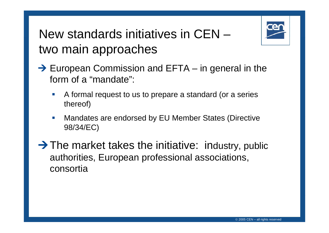

#### New standards initiatives in CEN –two main approaches

- $\rightarrow$  European Commission and EFTA – $-$  in general in the form of a "mandate":
	- A formal request to us to prepare a standard (or a series thereof)
	- Mandates are endorsed by EU Member States (Directive 98/34/EC)

 $\rightarrow$  The market takes the initiative: industry, public authorities, European professional associations, consortia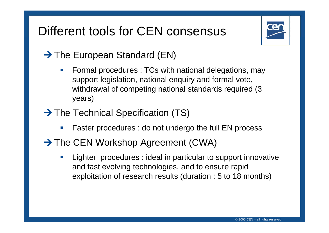### Different tools for CEN consensus



#### $\rightarrow$  The European Standard (EN)

- $\mathcal{L}_{\mathcal{A}}$  Formal procedures : TCs with national delegations, may support legislation, national enquiry and formal vote, withdrawal of competing national standards required (3 years)
- $\rightarrow$  The Technical Specification (TS)
	- $\mathcal{L}_{\mathcal{A}}$ Faster procedures : do not undergo the full EN process
- $\rightarrow$  The CEN Workshop Agreement (CWA)
	- $\mathcal{L}_{\mathcal{A}}$  Lighter procedures : ideal in particular to support innovative and fast evolving technologies, and to ensure rapid exploitation of research results (duration : 5 to 18 months)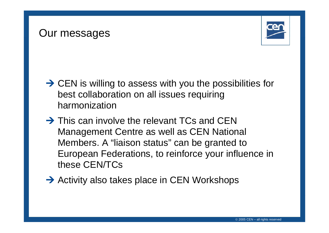#### Our messages



- $\rightarrow$  CEN is willing to assess with you the possibilities for best collaboration on all issues requiring harmonization
- $\rightarrow$  This can involve the relevant TCs and CEN Management Centre as well as CEN National Members. A "liaison status" can be granted to European Federations, to reinforce your influence in these CEN/TCs
- $\rightarrow$  Activity also takes place in CEN Workshops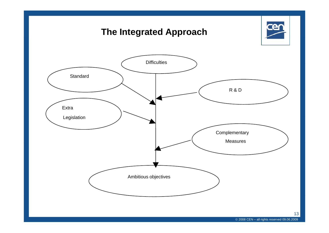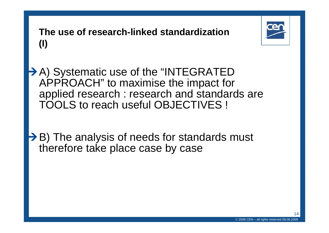**The use of research-linked standardization (I)**



**→ A) Systematic use of the "INTEGRATED** APPROACH" to maximise the impact for applied research : research and standards are TOOLS to reach useful OBJECTIVES !

 $\rightarrow$  B) The analysis of needs for standards must therefore take place case by case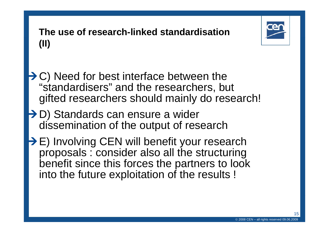

#### **The use of research-linked standardisation (II)**

- $\rightarrow$  C) Need for best interface between the "standardisers " and the researchers, but gifted researchers should mainly do research!
- **→ D) Standards can ensure a wider** dissemination of the output of research
- $\rightarrow$  E) Involving CEN will benefit your research proposals : consider also all the structuring benefit since this forces the partners to look into the future exploitation of the results !